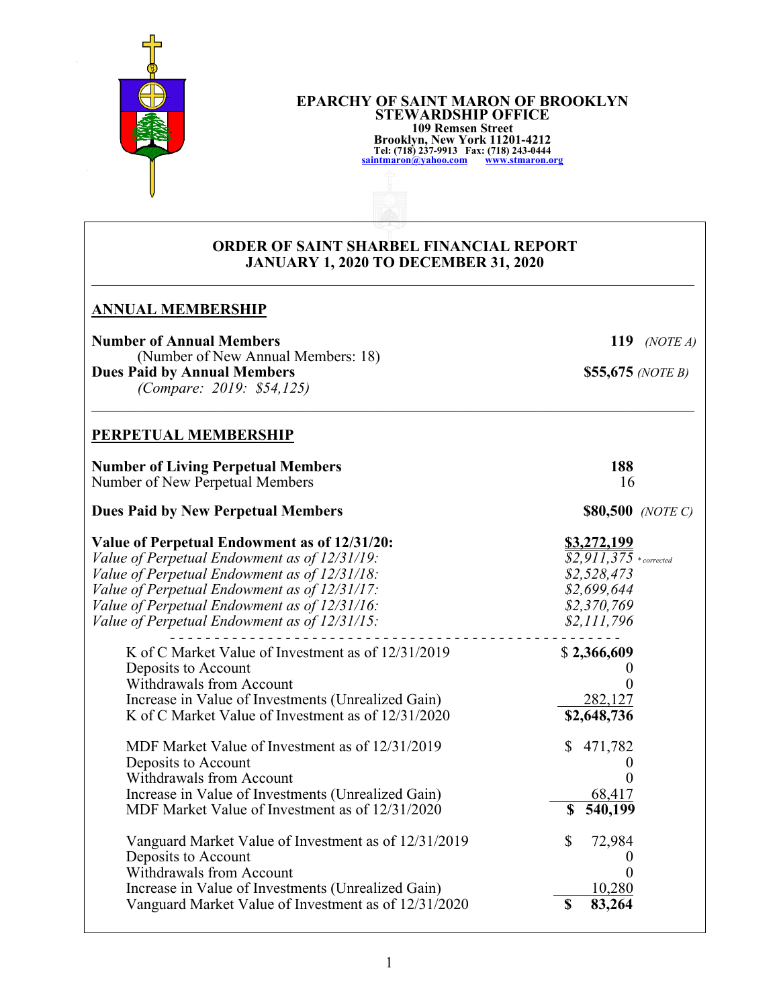

## **EPARCHY OF SAINT MARON OF BROOKLYN STEWARDSHIP OFFICE 109 Remsen Street Brooklyn, New York 11201-4212 Tel: (718) 237-9913 Fax: (718) 243-0444 [saintmaron@yahoo.com](mailto:saintmaron@yahoo.com) [www.stmaron.org](http://www.stmaron.org/)**

## **ORDER OF SAINT SHARBEL FINANCIAL REPORT JANUARY 1, 2020 TO DECEMBER 31, 2020**

| <b>ANNUAL MEMBERSHIP</b>                                                                                 |                                      |  |
|----------------------------------------------------------------------------------------------------------|--------------------------------------|--|
| <b>Number of Annual Members</b><br>(Number of New Annual Members: 18)                                    | <b>119</b><br>(NOTE A)               |  |
| <b>Dues Paid by Annual Members</b><br>(Compare: 2019: \$54,125)                                          | \$55,675 (NOTE B)                    |  |
| <b>PERPETUAL MEMBERSHIP</b>                                                                              |                                      |  |
| <b>Number of Living Perpetual Members</b>                                                                | 188                                  |  |
| Number of New Perpetual Members                                                                          | 16                                   |  |
| <b>Dues Paid by New Perpetual Members</b>                                                                | \$80,500 (NOTE C)                    |  |
| Value of Perpetual Endowment as of 12/31/20:                                                             | <u>\$3,272,199</u>                   |  |
| Value of Perpetual Endowment as of 12/31/19:                                                             | $\overline{\$2,911,375}$ * corrected |  |
| Value of Perpetual Endowment as of 12/31/18:                                                             | \$2,528,473                          |  |
| Value of Perpetual Endowment as of 12/31/17:                                                             | \$2,699,644                          |  |
| Value of Perpetual Endowment as of 12/31/16:                                                             | \$2,370,769                          |  |
| Value of Perpetual Endowment as of 12/31/15:                                                             | \$2,111,796                          |  |
| K of C Market Value of Investment as of 12/31/2019                                                       | \$2,366,609                          |  |
| Deposits to Account                                                                                      | O                                    |  |
| Withdrawals from Account                                                                                 | 0                                    |  |
| Increase in Value of Investments (Unrealized Gain)<br>K of C Market Value of Investment as of 12/31/2020 | 282,127<br>\$2,648,736               |  |
|                                                                                                          |                                      |  |
| MDF Market Value of Investment as of 12/31/2019                                                          | 471,782<br>$\mathbb{S}$              |  |
| Deposits to Account                                                                                      | 0                                    |  |
| Withdrawals from Account                                                                                 | 0                                    |  |
| Increase in Value of Investments (Unrealized Gain)                                                       | 68,417                               |  |
| MDF Market Value of Investment as of 12/31/2020                                                          | \$<br>540,199                        |  |
| Vanguard Market Value of Investment as of 12/31/2019                                                     | \$<br>72,984                         |  |
| Deposits to Account                                                                                      | $\boldsymbol{0}$                     |  |
| Withdrawals from Account                                                                                 | 0                                    |  |
| Increase in Value of Investments (Unrealized Gain)                                                       | 10,280                               |  |
| Vanguard Market Value of Investment as of 12/31/2020                                                     | $\mathbf S$<br>83,264                |  |